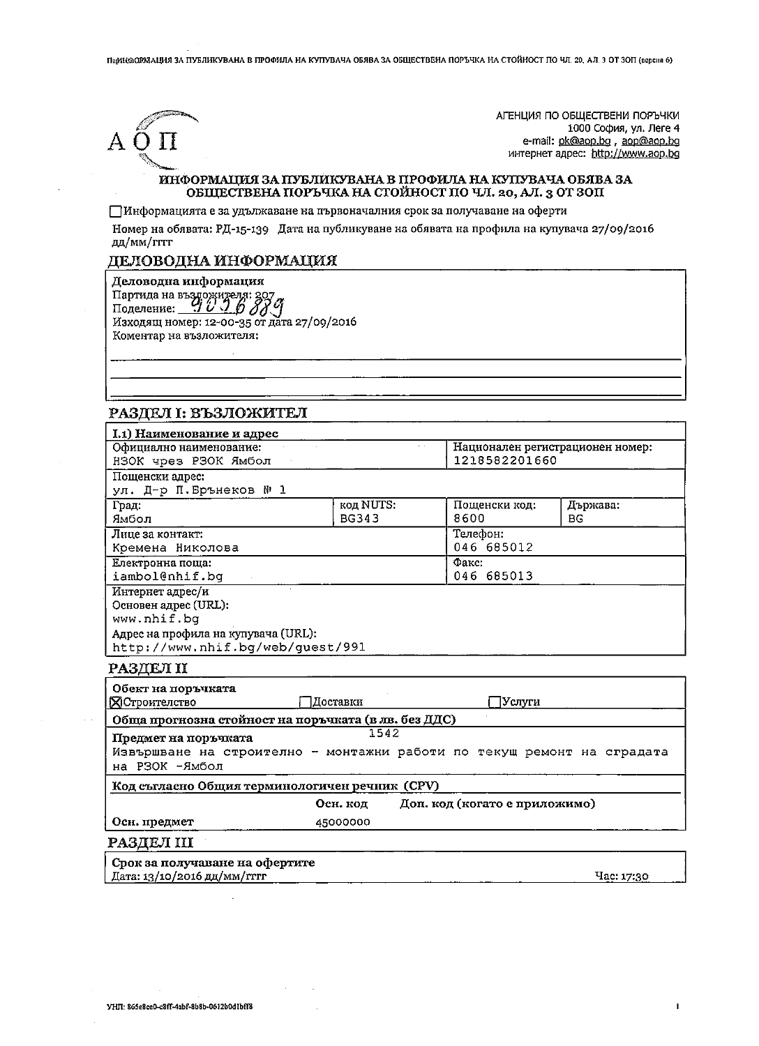Парина ОЛУДАЦИЯ ЗА ПУБЛИКУВАНА В ПРОФИЛА НА КУПУВАЧА ОБЯВА ЗА ОБЩЕСТВЕНА ПОРЪЧКА НА СТОЙНОСТ ПО ЧЛ. 20, АЛ. 3 ОТ 30П (версия 6)



АГЕНЦИЯ ПО ОБЩЕСТВЕНИ ПОРЪЧКИ 1000 София, ул. Леге 4 e-mail: pk@aop.bg, aop@aop.bg интернет адрес: http://www.aop.bg

 $\mathbf{I}$ 

## ИНФОРМАЦИЯ ЗА ПУБЛИКУВАНА В ПРОФИЛА НА КУПУВАЧА ОБЯВА ЗА ОБЩЕСТВЕНА ПОРЪЧКА НА СТОЙНОСТ ПО ЧЛ. 20, АЛ. 3 ОТ ЗОП

ПИнформацията е за удължаване на първоначалния срок за получаване на оферти

Номер на обявата: РД-15-139 Дата на публикуване на обявата на профила на купувача 27/09/2016 дд/мм/гггг

# ДЕЛОВОДНА ИНФОРМАЦИЯ

Деловодна информация

Партида на въздожителя: 207<br>Поделение: 1000 ду (2000)<br>Изходящ номер: 12-00-35 от дата 27/09/2016 Коментар на възложителя:

# РАЗДЕЛ І: ВЪЗЛОЖИТЕЛ

| I.1) Наименование и адрес                                              |                                           |  |                                  |            |
|------------------------------------------------------------------------|-------------------------------------------|--|----------------------------------|------------|
| Официално наименование:                                                |                                           |  | Национален регистрационен номер: |            |
| НЗОК чрез РЗОК Ямбол                                                   |                                           |  | 1218582201660                    |            |
| Пошенски адрес:                                                        |                                           |  |                                  |            |
| ул. Д-р П.Брънеков № 1                                                 |                                           |  |                                  |            |
| Град:                                                                  | код NUTS:                                 |  | Пощенски код:                    | Държава:   |
| Ямбол                                                                  | <b>BG343</b>                              |  | 8600                             | <b>BG</b>  |
| Лице за контакт:                                                       |                                           |  | Телефон:                         |            |
| Кремена Николова                                                       |                                           |  | 046 685012                       |            |
| Електронна поща:                                                       |                                           |  | Факс:                            |            |
| iambol@nhif.bq                                                         |                                           |  | 046 685013                       |            |
| Интернет адрес/и                                                       |                                           |  |                                  |            |
| Основен адрес (URL):                                                   |                                           |  |                                  |            |
| www.nhif.bq                                                            |                                           |  |                                  |            |
| Адрес на профила на купувача (URL):                                    |                                           |  |                                  |            |
| http://www.nhif.bg/web/guest/991                                       |                                           |  |                                  |            |
| РАЗДЕЛ II                                                              |                                           |  |                                  |            |
| Обект на поръчката                                                     |                                           |  |                                  |            |
| Доставки<br><b>Д</b> Строителство                                      |                                           |  | Услуги                           |            |
| Обща прогнозна стойност на поръчката (в лв. без ДДС)                   |                                           |  |                                  |            |
| Предмет на поръчката                                                   | 1542                                      |  |                                  |            |
| Извършване на строително - монтажни работи по текущ ремонт на сградата |                                           |  |                                  |            |
| на РЗОК -Ямбол                                                         |                                           |  |                                  |            |
| Код съгласно Общия терминологичен речник (CPV)                         |                                           |  |                                  |            |
|                                                                        | Доп. код (когато е приложимо)<br>Оси. код |  |                                  |            |
| Осн. предмет                                                           | 45000000                                  |  |                                  |            |
|                                                                        |                                           |  |                                  |            |
| РАЗДЕЛ III                                                             |                                           |  |                                  |            |
| Срок за получаване на офертите                                         |                                           |  |                                  |            |
| Лата: 13/10/2016 лл/мм/гггг                                            |                                           |  |                                  | Hac: 17:30 |